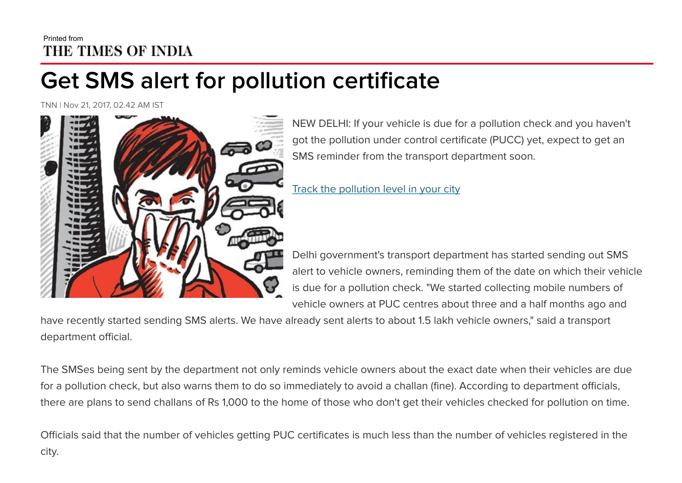## Printed from THE TIMES OF INDIA

## Get SMS alert for pollution certificate

TNN | Nov 21, 2017, 02.42 AM IST



NEW DELHI: If your vehicle is due for a pollution check and you haven't got the pollution under control certificate (PUCC) yet, expect to get an SMS reminder from the transport department soon.

Track the [pollution level](https://timesofindia.indiatimes.com/india/pollution-news) in your city

Delhi government's transport department has started sending out SMS alert to vehicle owners, reminding them of the date on which their vehicle is due for a pollution check. "We started collecting mobile numbers of vehicle owners at PUC centres about three and a half months ago and

have recently started sending SMS alerts. We have already sent alerts to about 1.5 lakh vehicle owners," said a transport department official.

The SMSes being sent by the department not only reminds vehicle owners about the exact date when their vehicles are due for a pollution check, but also warns them to do so immediately to avoid a challan (fine). According to department officials, there are plans to send challans of Rs 1,000 to the home of those who don't get their vehicles checked for pollution on time.

Officials said that the number of vehicles getting PUC certificates is much less than the number of vehicles registered in the city.